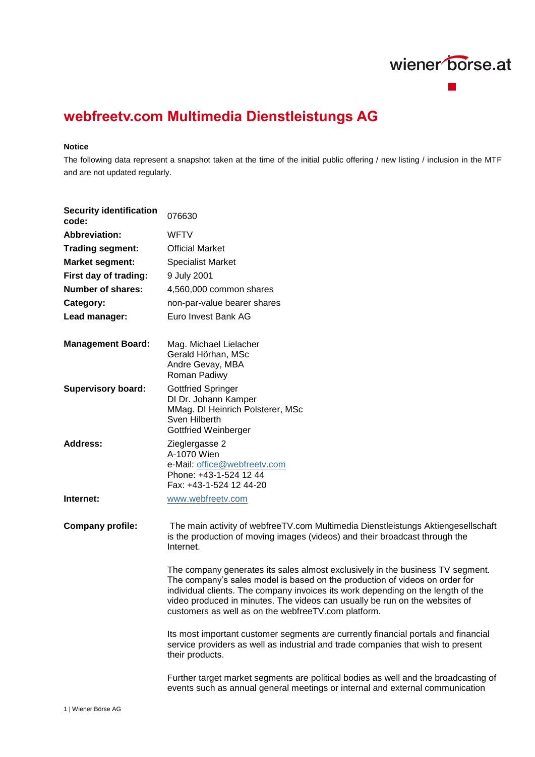

## **webfreetv.com Multimedia Dienstleistungs AG**

## **Notice**

The following data represent a snapshot taken at the time of the initial public offering / new listing / inclusion in the MTF and are not updated regularly.

| <b>Security identification</b><br>code: | 076630                                                                                                                                                                                                                                                                                                                                                                                  |
|-----------------------------------------|-----------------------------------------------------------------------------------------------------------------------------------------------------------------------------------------------------------------------------------------------------------------------------------------------------------------------------------------------------------------------------------------|
| <b>Abbreviation:</b>                    | <b>WFTV</b>                                                                                                                                                                                                                                                                                                                                                                             |
| <b>Trading segment:</b>                 | <b>Official Market</b>                                                                                                                                                                                                                                                                                                                                                                  |
| <b>Market segment:</b>                  | <b>Specialist Market</b>                                                                                                                                                                                                                                                                                                                                                                |
| First day of trading:                   | 9 July 2001                                                                                                                                                                                                                                                                                                                                                                             |
| Number of shares:                       | 4,560,000 common shares                                                                                                                                                                                                                                                                                                                                                                 |
| Category:                               | non-par-value bearer shares                                                                                                                                                                                                                                                                                                                                                             |
| Lead manager:                           | Euro Invest Bank AG                                                                                                                                                                                                                                                                                                                                                                     |
| <b>Management Board:</b>                | Mag. Michael Lielacher<br>Gerald Hörhan, MSc<br>Andre Gevay, MBA<br>Roman Padiwy                                                                                                                                                                                                                                                                                                        |
| <b>Supervisory board:</b>               | <b>Gottfried Springer</b><br>DI Dr. Johann Kamper<br>MMag. DI Heinrich Polsterer, MSc<br>Sven Hilberth<br>Gottfried Weinberger                                                                                                                                                                                                                                                          |
| <b>Address:</b>                         | Zieglergasse 2<br>A-1070 Wien<br>e-Mail: office@webfreetv.com<br>Phone: +43-1-524 12 44<br>Fax: +43-1-524 12 44-20                                                                                                                                                                                                                                                                      |
| Internet:                               | www.webfreetv.com                                                                                                                                                                                                                                                                                                                                                                       |
| <b>Company profile:</b>                 | The main activity of webfreeTV.com Multimedia Dienstleistungs Aktiengesellschaft<br>is the production of moving images (videos) and their broadcast through the<br>Internet.                                                                                                                                                                                                            |
|                                         | The company generates its sales almost exclusively in the business TV segment.<br>The company's sales model is based on the production of videos on order for<br>individual clients. The company invoices its work depending on the length of the<br>video produced in minutes. The videos can usually be run on the websites of<br>customers as well as on the webfreeTV.com platform. |
|                                         | Its most important customer segments are currently financial portals and financial<br>service providers as well as industrial and trade companies that wish to present<br>their products.                                                                                                                                                                                               |
|                                         | Further target market segments are political bodies as well and the broadcasting of<br>events such as annual general meetings or internal and external communication                                                                                                                                                                                                                    |